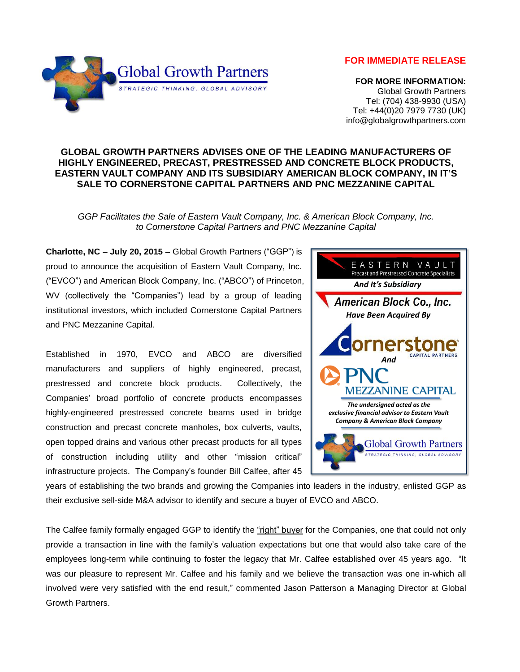**FOR IMMEDIATE RELEASE**



 **FOR MORE INFORMATION:** Global Growth Partners Tel: (704) 438-9930 (USA) Tel: +44(0)20 7979 7730 (UK) info@globalgrowthpartners.com

## **GLOBAL GROWTH PARTNERS ADVISES ONE OF THE LEADING MANUFACTURERS OF HIGHLY ENGINEERED, PRECAST, PRESTRESSED AND CONCRETE BLOCK PRODUCTS, EASTERN VAULT COMPANY AND ITS SUBSIDIARY AMERICAN BLOCK COMPANY, IN IT'S SALE TO CORNERSTONE CAPITAL PARTNERS AND PNC MEZZANINE CAPITAL**

*GGP Facilitates the Sale of Eastern Vault Company, Inc. & American Block Company, Inc. to Cornerstone Capital Partners and PNC Mezzanine Capital*

**Charlotte, NC – July 20, 2015 –** Global Growth Partners ("GGP") is proud to announce the acquisition of Eastern Vault Company, Inc. ("EVCO") and American Block Company, Inc. ("ABCO") of Princeton, WV (collectively the "Companies") lead by a group of leading institutional investors, which included Cornerstone Capital Partners and PNC Mezzanine Capital.

Established in 1970, EVCO and ABCO are diversified manufacturers and suppliers of highly engineered, precast, prestressed and concrete block products. Collectively, the Companies' broad portfolio of concrete products encompasses highly-engineered prestressed concrete beams used in bridge construction and precast concrete manholes, box culverts, vaults, open topped drains and various other precast products for all types of construction including utility and other "mission critical" infrastructure projects. The Company's founder Bill Calfee, after 45



years of establishing the two brands and growing the Companies into leaders in the industry, enlisted GGP as their exclusive sell-side M&A advisor to identify and secure a buyer of EVCO and ABCO.

The Calfee family formally engaged GGP to identify the "right" buyer for the Companies, one that could not only provide a transaction in line with the family's valuation expectations but one that would also take care of the employees long-term while continuing to foster the legacy that Mr. Calfee established over 45 years ago. "It was our pleasure to represent Mr. Calfee and his family and we believe the transaction was one in-which all involved were very satisfied with the end result," commented Jason Patterson a Managing Director at Global Growth Partners.